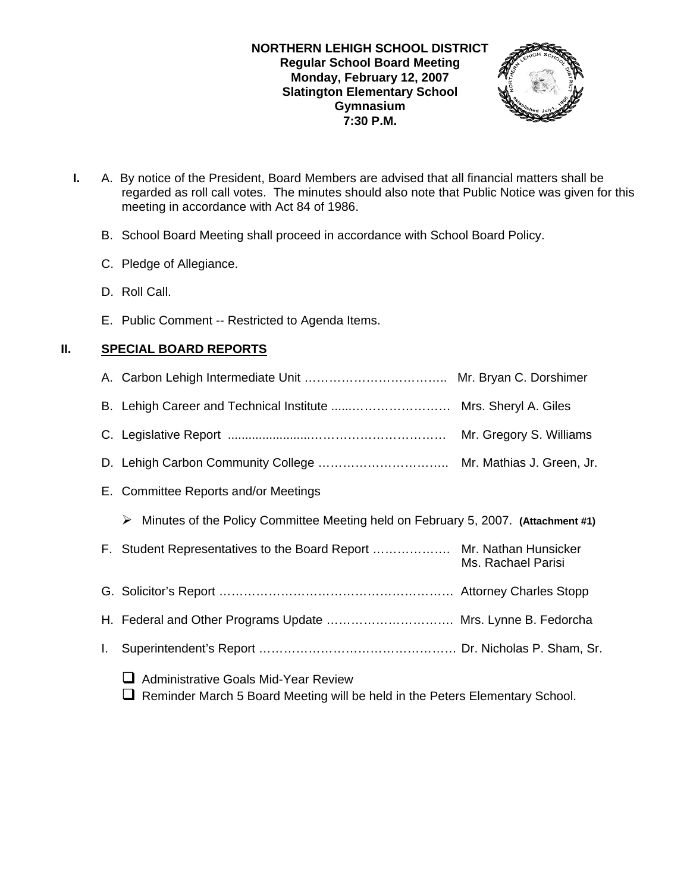### **NORTHERN LEHIGH SCHOOL DISTRICT Regular School Board Meeting Monday, February 12, 2007 Slatington Elementary School Gymnasium 7:30 P.M.**



- **I.** A. By notice of the President, Board Members are advised that all financial matters shall be regarded as roll call votes. The minutes should also note that Public Notice was given for this meeting in accordance with Act 84 of 1986.
	- B. School Board Meeting shall proceed in accordance with School Board Policy.
	- C. Pledge of Allegiance.
	- D. Roll Call.
	- E. Public Comment -- Restricted to Agenda Items.

# **II. SPECIAL BOARD REPORTS**

|    |                                                                                                                                  | Mr. Gregory S. Williams |
|----|----------------------------------------------------------------------------------------------------------------------------------|-------------------------|
|    |                                                                                                                                  |                         |
|    | E. Committee Reports and/or Meetings                                                                                             |                         |
|    | Minutes of the Policy Committee Meeting held on February 5, 2007. (Attachment #1)<br>➤                                           |                         |
|    | F. Student Representatives to the Board Report  Mr. Nathan Hunsicker                                                             | Ms. Rachael Parisi      |
|    |                                                                                                                                  |                         |
|    | H. Federal and Other Programs Update  Mrs. Lynne B. Fedorcha                                                                     |                         |
| I. |                                                                                                                                  |                         |
|    | <b>Administrative Goals Mid-Year Review</b><br>ப<br>Reminder March 5 Board Meeting will be held in the Peters Elementary School. |                         |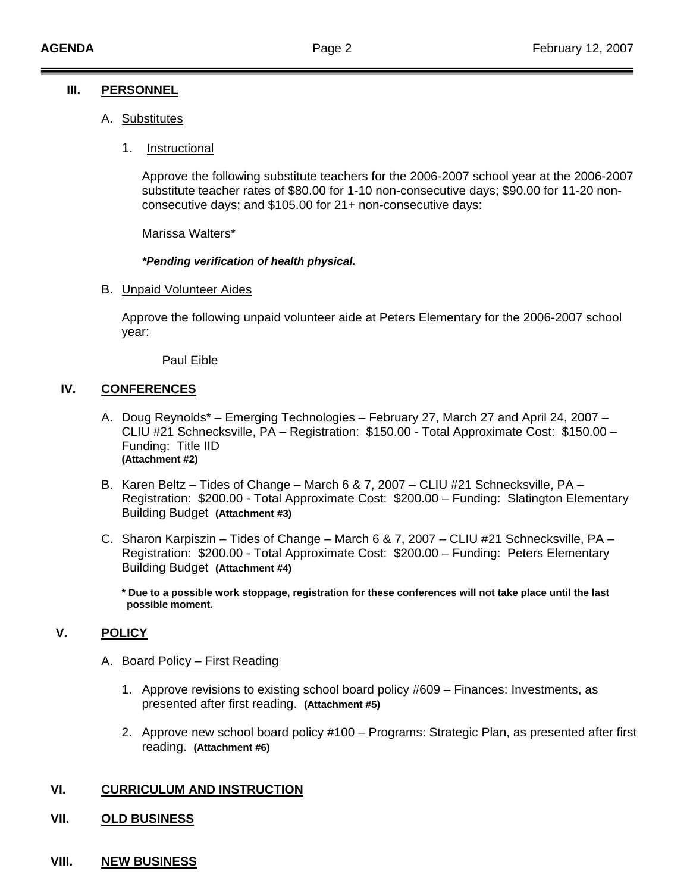### **III. PERSONNEL**

- A. Substitutes
	- 1. Instructional

Approve the following substitute teachers for the 2006-2007 school year at the 2006-2007 substitute teacher rates of \$80.00 for 1-10 non-consecutive days; \$90.00 for 11-20 nonconsecutive days; and \$105.00 for 21+ non-consecutive days:

Marissa Walters\*

### *\*Pending verification of health physical.*

B. Unpaid Volunteer Aides

 Approve the following unpaid volunteer aide at Peters Elementary for the 2006-2007 school year:

Paul Eible

### **IV. CONFERENCES**

- A. Doug Reynolds\* Emerging Technologies February 27, March 27 and April 24, 2007 CLIU #21 Schnecksville, PA – Registration: \$150.00 - Total Approximate Cost: \$150.00 – Funding: Title IID **(Attachment #2)**
- B. Karen Beltz Tides of Change March 6 & 7, 2007 CLIU #21 Schnecksville, PA Registration: \$200.00 - Total Approximate Cost: \$200.00 – Funding: Slatington Elementary Building Budget **(Attachment #3)**
- C. Sharon Karpiszin Tides of Change March 6 & 7, 2007 CLIU #21 Schnecksville, PA Registration: \$200.00 - Total Approximate Cost: \$200.00 – Funding: Peters Elementary Building Budget **(Attachment #4)**

 **\* Due to a possible work stoppage, registration for these conferences will not take place until the last possible moment.** 

### **V. POLICY**

### A. Board Policy – First Reading

- 1. Approve revisions to existing school board policy #609 Finances: Investments, as presented after first reading. **(Attachment #5)**
- 2. Approve new school board policy #100 Programs: Strategic Plan, as presented after first reading. **(Attachment #6)**

### **VI. CURRICULUM AND INSTRUCTION**

- **VII. OLD BUSINESS**
- **VIII. NEW BUSINESS**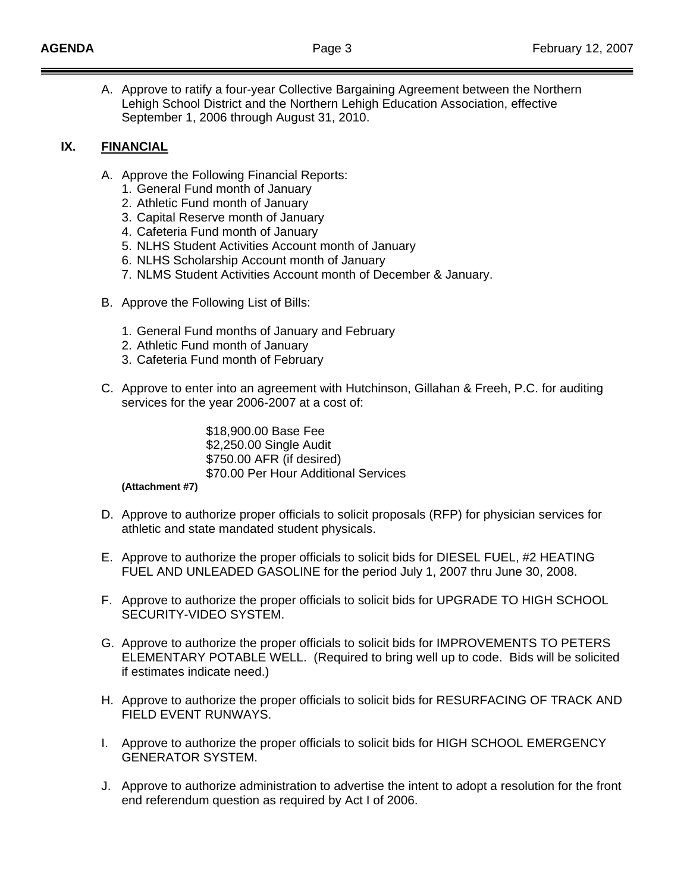A. Approve to ratify a four-year Collective Bargaining Agreement between the Northern Lehigh School District and the Northern Lehigh Education Association, effective September 1, 2006 through August 31, 2010.

### **IX. FINANCIAL**

- A. Approve the Following Financial Reports:
	- 1. General Fund month of January
	- 2. Athletic Fund month of January
	- 3. Capital Reserve month of January
	- 4. Cafeteria Fund month of January
	- 5. NLHS Student Activities Account month of January
	- 6. NLHS Scholarship Account month of January
	- 7. NLMS Student Activities Account month of December & January.
- B. Approve the Following List of Bills:
	- 1. General Fund months of January and February
	- 2. Athletic Fund month of January
	- 3. Cafeteria Fund month of February
- C. Approve to enter into an agreement with Hutchinson, Gillahan & Freeh, P.C. for auditing services for the year 2006-2007 at a cost of:

 \$18,900.00 Base Fee \$2,250.00 Single Audit \$750.00 AFR (if desired) \$70.00 Per Hour Additional Services

### **(Attachment #7)**

- D. Approve to authorize proper officials to solicit proposals (RFP) for physician services for athletic and state mandated student physicals.
- E. Approve to authorize the proper officials to solicit bids for DIESEL FUEL, #2 HEATING FUEL AND UNLEADED GASOLINE for the period July 1, 2007 thru June 30, 2008.
- F. Approve to authorize the proper officials to solicit bids for UPGRADE TO HIGH SCHOOL SECURITY-VIDEO SYSTEM.
- G. Approve to authorize the proper officials to solicit bids for IMPROVEMENTS TO PETERS ELEMENTARY POTABLE WELL. (Required to bring well up to code. Bids will be solicited if estimates indicate need.)
- H. Approve to authorize the proper officials to solicit bids for RESURFACING OF TRACK AND FIELD EVENT RUNWAYS.
- I. Approve to authorize the proper officials to solicit bids for HIGH SCHOOL EMERGENCY GENERATOR SYSTEM.
- J. Approve to authorize administration to advertise the intent to adopt a resolution for the front end referendum question as required by Act I of 2006.